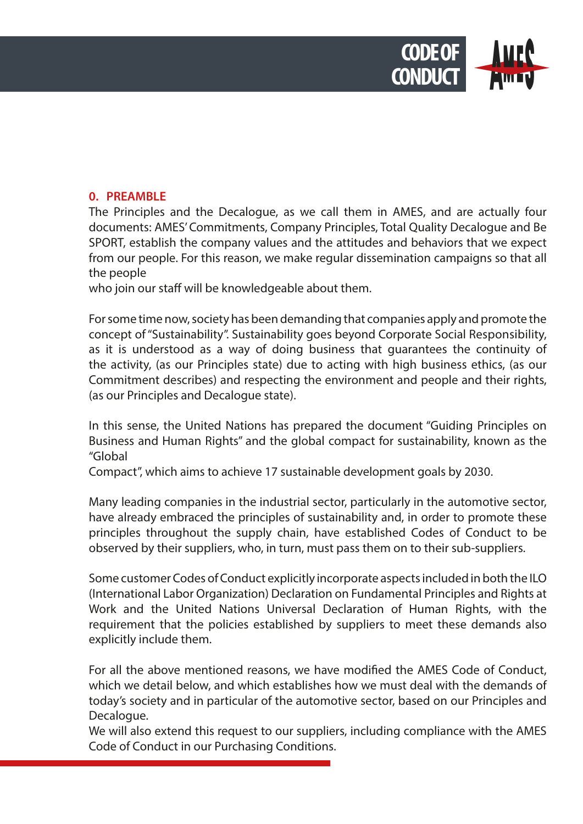

## **0. PREAMBLE**

The Principles and the Decalogue, as we call them in AMES, and are actually four documents: AMES' Commitments, Company Principles, Total Quality Decalogue and Be SPORT, establish the company values and the attitudes and behaviors that we expect from our people. For this reason, we make regular dissemination campaigns so that all the people

who join our staff will be knowledgeable about them.

For some time now, society has been demanding that companies apply and promote the concept of "Sustainability". Sustainability goes beyond Corporate Social Responsibility, as it is understood as a way of doing business that guarantees the continuity of the activity, (as our Principles state) due to acting with high business ethics, (as our Commitment describes) and respecting the environment and people and their rights, (as our Principles and Decalogue state).

In this sense, the United Nations has prepared the document "Guiding Principles on Business and Human Rights" and the global compact for sustainability, known as the "Global

Compact", which aims to achieve 17 sustainable development goals by 2030.

Many leading companies in the industrial sector, particularly in the automotive sector, have already embraced the principles of sustainability and, in order to promote these principles throughout the supply chain, have established Codes of Conduct to be observed by their suppliers, who, in turn, must pass them on to their sub-suppliers.

Some customer Codes of Conduct explicitly incorporate aspects included in both the ILO (International Labor Organization) Declaration on Fundamental Principles and Rights at Work and the United Nations Universal Declaration of Human Rights, with the requirement that the policies established by suppliers to meet these demands also explicitly include them.

For all the above mentioned reasons, we have modified the AMES Code of Conduct, which we detail below, and which establishes how we must deal with the demands of today's society and in particular of the automotive sector, based on our Principles and Decalogue.

We will also extend this request to our suppliers, including compliance with the AMES Code of Conduct in our Purchasing Conditions.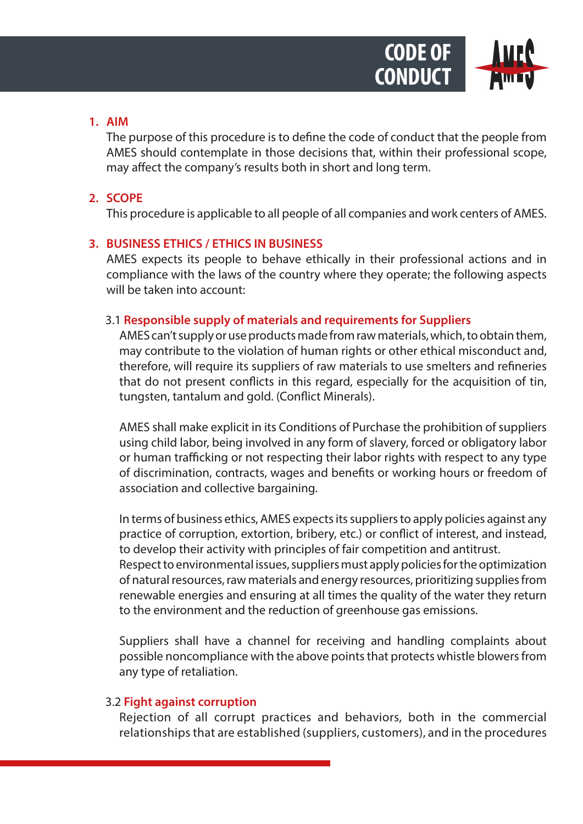

### **1. AIM**

The purpose of this procedure is to define the code of conduct that the people from AMES should contemplate in those decisions that, within their professional scope, may affect the company's results both in short and long term.

# **2. SCOPE**

This procedure is applicable to all people of all companies and work centers of AMES.

# **3. BUSINESS ETHICS / ETHICS IN BUSINESS**

AMES expects its people to behave ethically in their professional actions and in compliance with the laws of the country where they operate; the following aspects will be taken into account:

# 3.1 **Responsible supply of materials and requirements for Suppliers**

AMES can't supply or use products made from raw materials, which, to obtain them, may contribute to the violation of human rights or other ethical misconduct and, therefore, will require its suppliers of raw materials to use smelters and refineries that do not present conflicts in this regard, especially for the acquisition of tin, tungsten, tantalum and gold. (Conflict Minerals).

AMES shall make explicit in its Conditions of Purchase the prohibition of suppliers using child labor, being involved in any form of slavery, forced or obligatory labor or human trafficking or not respecting their labor rights with respect to any type of discrimination, contracts, wages and benefits or working hours or freedom of association and collective bargaining.

In terms of business ethics, AMES expects its suppliers to apply policies against any practice of corruption, extortion, bribery, etc.) or conflict of interest, and instead, to develop their activity with principles of fair competition and antitrust. Respect to environmental issues, suppliers must apply policies for the optimization of natural resources, raw materials and energy resources, prioritizing supplies from renewable energies and ensuring at all times the quality of the water they return to the environment and the reduction of greenhouse gas emissions.

Suppliers shall have a channel for receiving and handling complaints about possible noncompliance with the above points that protects whistle blowers from any type of retaliation.

# 3.2 **Fight against corruption**

Rejection of all corrupt practices and behaviors, both in the commercial relationships that are established (suppliers, customers), and in the procedures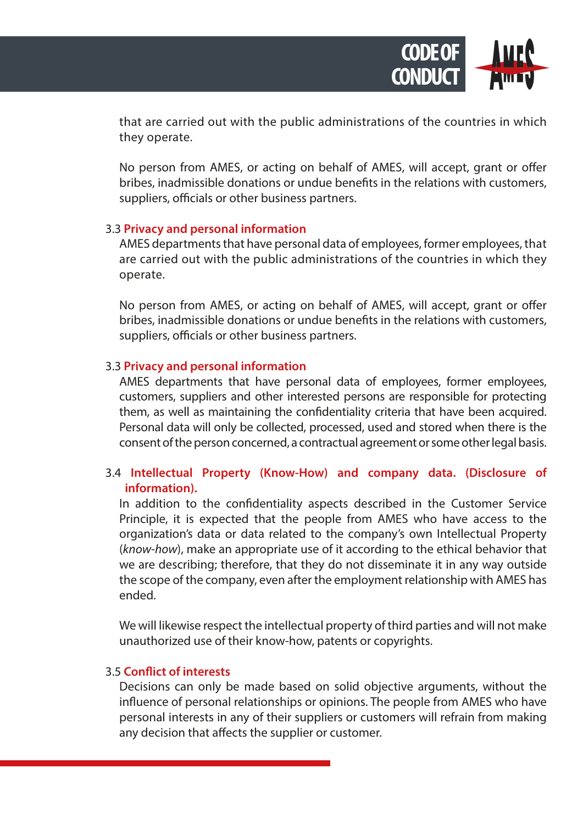

that are carried out with the public administrations of the countries in which they operate.

No person from AMES, or acting on behalf of AMES, will accept, grant or offer bribes, inadmissible donations or undue benefits in the relations with customers, suppliers, officials or other business partners.

#### 3.3 **Privacy and personal information**

AMES departments that have personal data of employees, former employees, that are carried out with the public administrations of the countries in which they operate.

No person from AMES, or acting on behalf of AMES, will accept, grant or offer bribes, inadmissible donations or undue benefits in the relations with customers, suppliers, officials or other business partners.

#### 3.3 **Privacy and personal information**

AMES departments that have personal data of employees, former employees, customers, suppliers and other interested persons are responsible for protecting them, as well as maintaining the confidentiality criteria that have been acquired. Personal data will only be collected, processed, used and stored when there is the consent of the person concerned, a contractual agreement or some other legal basis.

# 3.4 **Intellectual Property (Know-How) and company data. (Disclosure of information).**

In addition to the confidentiality aspects described in the Customer Service Principle, it is expected that the people from AMES who have access to the organization's data or data related to the company's own Intellectual Property (*know-how*), make an appropriate use of it according to the ethical behavior that we are describing; therefore, that they do not disseminate it in any way outside the scope of the company, even after the employment relationship with AMES has ended.

We will likewise respect the intellectual property of third parties and will not make unauthorized use of their know-how, patents or copyrights.

### 3.5 **Conflict of interests**

Decisions can only be made based on solid objective arguments, without the influence of personal relationships or opinions. The people from AMES who have personal interests in any of their suppliers or customers will refrain from making any decision that affects the supplier or customer.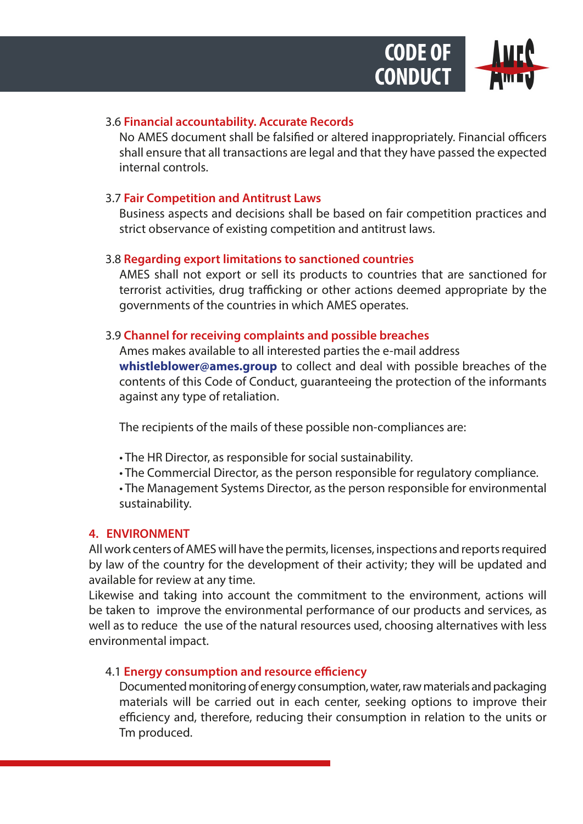

## 3.6 **Financial accountability. Accurate Records**

No AMES document shall be falsified or altered inappropriately. Financial officers shall ensure that all transactions are legal and that they have passed the expected internal controls.

## 3.7 **Fair Competition and Antitrust Laws**

Business aspects and decisions shall be based on fair competition practices and strict observance of existing competition and antitrust laws.

### 3.8 **Regarding export limitations to sanctioned countries**

AMES shall not export or sell its products to countries that are sanctioned for terrorist activities, drug trafficking or other actions deemed appropriate by the governments of the countries in which AMES operates.

# 3.9 **Channel for receiving complaints and possible breaches**

Ames makes available to all interested parties the e-mail address **whistleblower@ames.group** to collect and deal with possible breaches of the contents of this Code of Conduct, guaranteeing the protection of the informants against any type of retaliation.

The recipients of the mails of these possible non-compliances are:

- The HR Director, as responsible for social sustainability.
- The Commercial Director, as the person responsible for regulatory compliance.

• The Management Systems Director, as the person responsible for environmental sustainability.

### **4. ENVIRONMENT**

All work centers of AMES will have the permits, licenses, inspections and reports required by law of the country for the development of their activity; they will be updated and available for review at any time.

Likewise and taking into account the commitment to the environment, actions will be taken to improve the environmental performance of our products and services, as well as to reduce the use of the natural resources used, choosing alternatives with less environmental impact.

# 4.1 **Energy consumption and resource efficiency**

Documented monitoring of energy consumption, water, raw materials and packaging materials will be carried out in each center, seeking options to improve their efficiency and, therefore, reducing their consumption in relation to the units or Tm produced.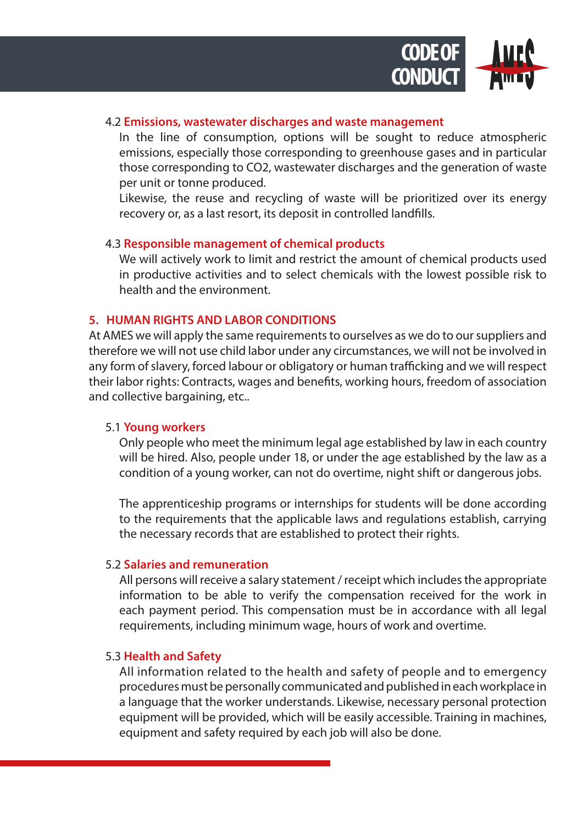

### 4.2 **Emissions, wastewater discharges and waste management**

In the line of consumption, options will be sought to reduce atmospheric emissions, especially those corresponding to greenhouse gases and in particular those corresponding to CO2, wastewater discharges and the generation of waste per unit or tonne produced.

Likewise, the reuse and recycling of waste will be prioritized over its energy recovery or, as a last resort, its deposit in controlled landfills.

### 4.3 **Responsible management of chemical products**

We will actively work to limit and restrict the amount of chemical products used in productive activities and to select chemicals with the lowest possible risk to health and the environment.

### **5. HUMAN RIGHTS AND LABOR CONDITIONS**

At AMES we will apply the same requirements to ourselves as we do to our suppliers and therefore we will not use child labor under any circumstances, we will not be involved in any form of slavery, forced labour or obligatory or human trafficking and we will respect their labor rights: Contracts, wages and benefits, working hours, freedom of association and collective bargaining, etc..

### 5.1 **Young workers**

Only people who meet the minimum legal age established by law in each country will be hired. Also, people under 18, or under the age established by the law as a condition of a young worker, can not do overtime, night shift or dangerous jobs.

The apprenticeship programs or internships for students will be done according to the requirements that the applicable laws and regulations establish, carrying the necessary records that are established to protect their rights.

### 5.2 **Salaries and remuneration**

All persons will receive a salary statement / receipt which includes the appropriate information to be able to verify the compensation received for the work in each payment period. This compensation must be in accordance with all legal requirements, including minimum wage, hours of work and overtime.

### 5.3 **Health and Safety**

All information related to the health and safety of people and to emergency procedures must be personally communicated and published in each workplace in a language that the worker understands. Likewise, necessary personal protection equipment will be provided, which will be easily accessible. Training in machines, equipment and safety required by each job will also be done.